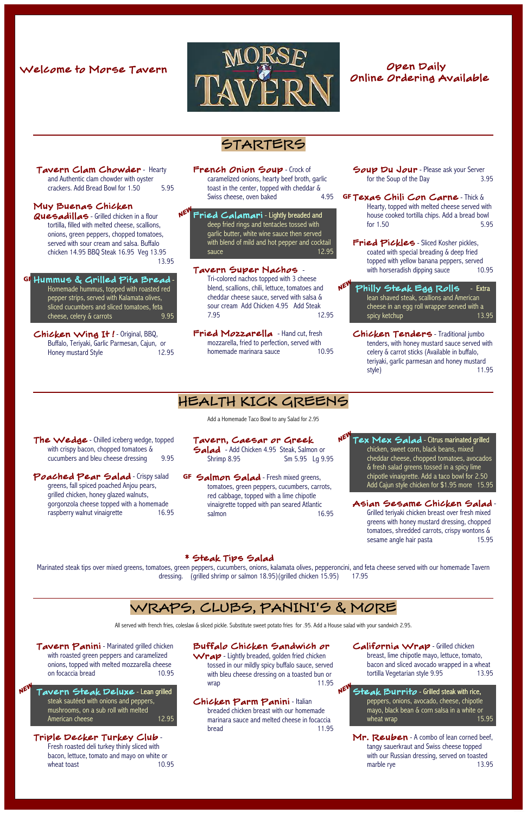# $rac{1}{\sqrt{2}}$



 Tavern Clam Chowder - Hearty and Authentic clam chowder with oyster crackers. Add Bread Bowl for 1.50 5.95

# Online Ordering Available

# STARTERS

French Onion Soup - Crock of caramelized onions, hearty beef broth, garlic toast in the center, topped with cheddar & Swiss cheese, oven baked 4.95

Fried Calamari - Lightly breaded and deep fried rings and tentacles tossed with garlic butter, white wine sauce then served with blend of mild and hot pepper and cocktail sauce 12.95

**Quesadillas** - Grilled chicken in a flour tortilla, filled with melted cheese, scallions, onions, green peppers, chopped tomatoes, served with sour cream and salsa. Buffalo chicken 14.95 BBQ Steak 16.95 Veg 13.95 13.95

#### Muy Buenas Chicken

Fried Mozzarella - Hand cut, fresh mozzarella, fried to perfection, served with homemade marinara sauce 10.95 Soup Du Jour - Please ask your Server for the Soup of the Day 3.95

GF Texas Chili Con Carne - Thick & Hearty, topped with melted cheese served with house cooked tortilla chips. Add a bread bowl for 1.50 5.95

Fried Pickles - Sliced Kosher pickles, coated with special breading & deep fried topped with yellow banana peppers, served Tavern Super Nachos - Tave with horseradish dipping sauce 10.95

> N<sup>EV</sup> Philly Steak Egg Rolls – Extra lean shaved steak, scallions and American cheese in an egg roll wrapper served with a spicy ketchup 13.95

The Wedge - Chilled iceberg wedge, topped with crispy bacon, chopped tomatoes & cucumbers and bleu cheese dressing 9.95

Poached Pear Salad - Crispy salad greens, fall spiced poached Anjou pears, grilled chicken, honey glazed walnuts, gorgonzola cheese topped with a homemade raspberry walnut vinaigrette 16.95 Salad - Add Chicken 4.95 Steak, Salmon or Shrimp 8.95 Sm 5.95 Lg 9.95

GF Salmon Salad - Fresh mixed greens, tomatoes, green peppers, cucumbers, carrots, red cabbage, topped with a lime chipotle vinaigrette topped with pan seared Atlantic salmon 16.95

 $N^{\text{EW}}$  Tex Mex Salad - Citrus marinated grilled

Tri-colored nachos topped with 3 cheese blend, scallions, chili, lettuce, tomatoes and cheddar cheese sauce, served with salsa & sour cream Add Chicken 4.95 Add Steak 7.95 12.95

… Hummus & Grilled Pita Bread - Homemade hummus, topped with roasted red pepper strips, served with Kalamata olives, sliced cucumbers and sliced tomatoes, feta cheese, celery & carrots 9.95

Chicken Wing It ! - Original, BBQ, Buffalo, Teriyaki, Garlic Parmesan, Cajun, or Honey mustard Style 12.95

> Grilled teriyaki chicken breast over fresh mixed greens with honey mustard dressing, chopped tomatoes, shredded carrots, crispy wontons & sesame angle hair pasta 15.95

Tavern Panini - Marinated grilled chicken with roasted green peppers and caramelized onions, topped with melted mozzarella cheese on focaccia bread 10.95

N<sup>ET</sup> Tavern Steak Deluxe - Lean grilled steak sautéed with onions and peppers, mushrooms, on a sub roll with melted American cheese 12.95 Wrap - Lightly breaded, golden fried chicken tossed in our mildly spicy buffalo sauce, served with bleu cheese dressing on a toasted bun or wrap 11.95 Chicken Tenders - Traditional jumbo tenders, with honey mustard sauce served with celery & carrot sticks (Available in buffalo, teriyaki, garlic parmesan and honey mustard style) 11.95

breast, lime chipotle mayo, lettuce, tomato, bacon and sliced avocado wrapped in a wheat tortilla Vegetarian style 9.95 13.95

NEV Steak Burrito - Grilled steak with rice, peppers, onions, avocado, cheese, chipotle mayo, black bean & corn salsa in a white or wheat wrap 15.95

Mr. Reuben - A combo of lean corned beef, tangy sauerkraut and Swiss cheese topped with our Russian dressing, served on toasted marble rye 13.95

## HEALTH KICK GREENS

Add a Homemade Taco Bowl to any Salad for 2.95

Tavern, Caesar or Greek

Fresh roasted deli turkey thinly sliced with bacon, lettuce, tomato and mayo on white or wheat toast 10.95 chicken, sweet corn, black beans, mixed cheddar cheese, chopped tomatoes, avocados & fresh salad greens tossed in a spicy lime chipotle vinaigrette. Add a taco bowl for 2.50 Add Cajun style chicken for \$1.95 more 15.95

#### Asian Sesame Chicken Salad -

#### \* Steak Tips Salad

Marinated steak tips over mixed greens, tomatoes, green peppers, cucumbers, onions, kalamata olives, pepperoncini, and feta cheese served with our homemade Tavern dressing. (grilled shrimp or salmon 18.95)(grilled chicken 15.95) 17.95

WRAPS, CLUBS, PANINI'S & MORE

All served with french fries, coleslaw & sliced pickle. Substitute sweet potato fries for .95. Add a House salad with your sandwich 2.95.

### Buffalo Chicken Sandwich or

### California Wrap - Grilled chicken

#### Chicken Parm Panini - Italian

breaded chicken breast with our homemade marinara sauce and melted cheese in focaccia bread 11.95

#### Triple Decker Turkey Club -